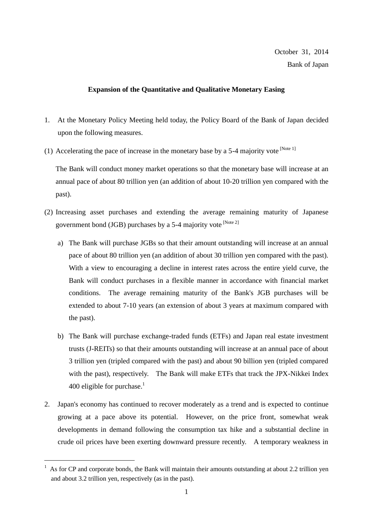## **Expansion of the Quantitative and Qualitative Monetary Easing**

- 1. At the Monetary Policy Meeting held today, the Policy Board of the Bank of Japan decided upon the following measures.
- (1) Accelerating the pace of increase in the monetary base by a 5-4 majority vote  $[Note 1]$

The Bank will conduct money market operations so that the monetary base will increase at an annual pace of about 80 trillion yen (an addition of about 10-20 trillion yen compared with the past).

- (2) Increasing asset purchases and extending the average remaining maturity of Japanese government bond (JGB) purchases by a 5-4 majority vote  $[Note 2]$ 
	- a) The Bank will purchase JGBs so that their amount outstanding will increase at an annual pace of about 80 trillion yen (an addition of about 30 trillion yen compared with the past). With a view to encouraging a decline in interest rates across the entire yield curve, the Bank will conduct purchases in a flexible manner in accordance with financial market conditions. The average remaining maturity of the Bank's JGB purchases will be extended to about 7-10 years (an extension of about 3 years at maximum compared with the past).
	- b) The Bank will purchase exchange-traded funds (ETFs) and Japan real estate investment trusts (J-REITs) so that their amounts outstanding will increase at an annual pace of about 3 trillion yen (tripled compared with the past) and about 90 billion yen (tripled compared with the past), respectively. The Bank will make ETFs that track the JPX-Nikkei Index 400 eligible for purchase. $<sup>1</sup>$ </sup>
- 2. Japan's economy has continued to recover moderately as a trend and is expected to continue growing at a pace above its potential. However, on the price front, somewhat weak developments in demand following the consumption tax hike and a substantial decline in crude oil prices have been exerting downward pressure recently. A temporary weakness in

 $1$  As for CP and corporate bonds, the Bank will maintain their amounts outstanding at about 2.2 trillion yen and about 3.2 trillion yen, respectively (as in the past).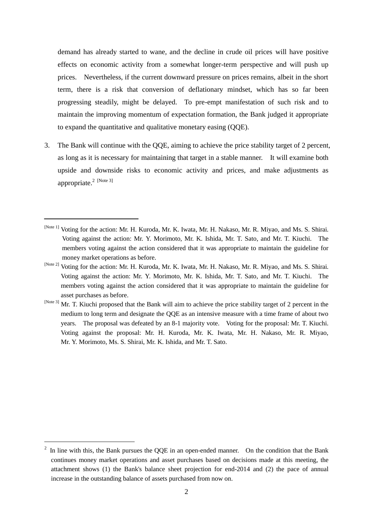demand has already started to wane, and the decline in crude oil prices will have positive effects on economic activity from a somewhat longer-term perspective and will push up prices. Nevertheless, if the current downward pressure on prices remains, albeit in the short term, there is a risk that conversion of deflationary mindset, which has so far been progressing steadily, might be delayed. To pre-empt manifestation of such risk and to maintain the improving momentum of expectation formation, the Bank judged it appropriate to expand the quantitative and qualitative monetary easing (QQE).

3. The Bank will continue with the QQE, aiming to achieve the price stability target of 2 percent, as long as it is necessary for maintaining that target in a stable manner. It will examine both upside and downside risks to economic activity and prices, and make adjustments as appropriate.<sup>2</sup> [Note 3]

[Note 3] Mr. T. Kiuchi proposed that the Bank will aim to achieve the price stability target of 2 percent in the medium to long term and designate the QQE as an intensive measure with a time frame of about two years. The proposal was defeated by an 8-1 majority vote. Voting for the proposal: Mr. T. Kiuchi. Voting against the proposal: Mr. H. Kuroda, Mr. K. Iwata, Mr. H. Nakaso, Mr. R. Miyao, Mr. Y. Morimoto, Ms. S. Shirai, Mr. K. Ishida, and Mr. T. Sato.

<sup>[</sup>Note 1] Voting for the action: Mr. H. Kuroda, Mr. K. Iwata, Mr. H. Nakaso, Mr. R. Miyao, and Ms. S. Shirai. Voting against the action: Mr. Y. Morimoto, Mr. K. Ishida, Mr. T. Sato, and Mr. T. Kiuchi. The members voting against the action considered that it was appropriate to maintain the guideline for money market operations as before.

<sup>[</sup>Note 2] Voting for the action: Mr. H. Kuroda, Mr. K. Iwata, Mr. H. Nakaso, Mr. R. Miyao, and Ms. S. Shirai. Voting against the action: Mr. Y. Morimoto, Mr. K. Ishida, Mr. T. Sato, and Mr. T. Kiuchi. The members voting against the action considered that it was appropriate to maintain the guideline for asset purchases as before.

<sup>2</sup> In line with this, the Bank pursues the QQE in an open-ended manner. On the condition that the Bank continues money market operations and asset purchases based on decisions made at this meeting, the attachment shows (1) the Bank's balance sheet projection for end-2014 and (2) the pace of annual increase in the outstanding balance of assets purchased from now on.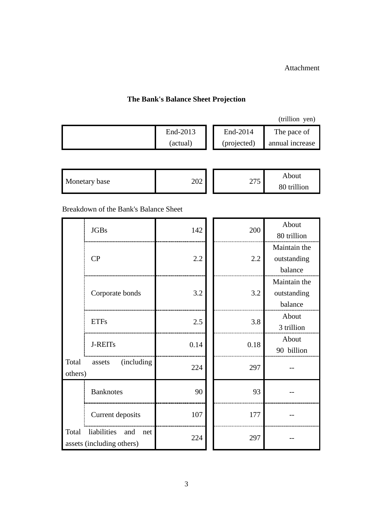Attachment

## **The Bank's Balance Sheet Projection**

| End-2013 | End-2014    | The pace of     |
|----------|-------------|-----------------|
| (actual) | (projected) | annual increase |

| Monetary base | 202 | 275<br>ں اپ | About<br>80 trillion |
|---------------|-----|-------------|----------------------|
|---------------|-----|-------------|----------------------|

Breakdown of the Bank's Balance Sheet

|                  | <b>JGBs</b>                                            | 142  | 200  | About<br>80 trillion                   |
|------------------|--------------------------------------------------------|------|------|----------------------------------------|
|                  | CP                                                     | 2.2  | 2.2  | Maintain the<br>outstanding<br>balance |
|                  | Corporate bonds                                        | 3.2  | 3.2  | Maintain the<br>outstanding<br>balance |
|                  | <b>ETFs</b>                                            | 2.5  | 3.8  | About<br>3 trillion                    |
|                  | <b>J-REITs</b>                                         | 0.14 | 0.18 | About<br>90 billion                    |
| Total<br>others) | (including)<br>assets                                  | 224  | 297  |                                        |
|                  | <b>Banknotes</b>                                       | 90   | 93   |                                        |
|                  | Current deposits                                       | 107  | 177  |                                        |
| Total            | liabilities<br>and<br>net<br>assets (including others) | 224  | 297  |                                        |